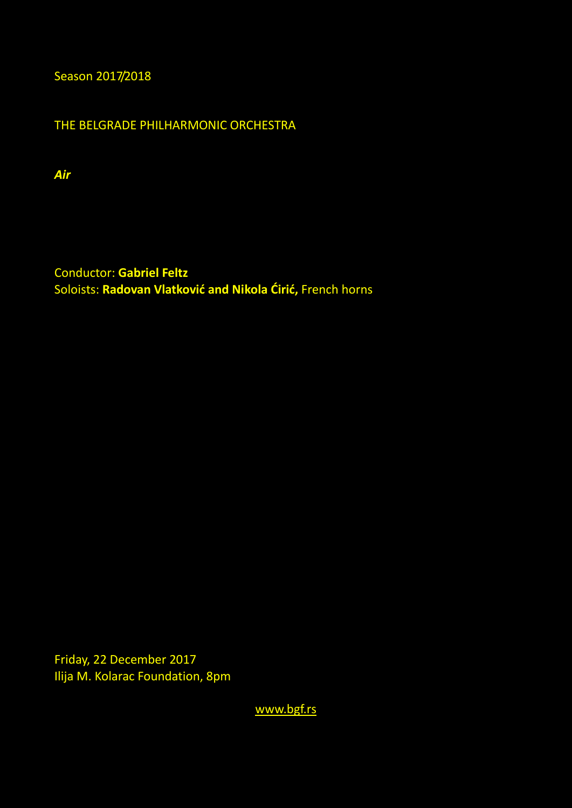Season 2017/2018

THE BELGRADE PHILHARMONIC ORCHESTRA

*Air* 

Conductor: **Gabriel Feltz** Soloists: **Radovan Vlatković and Nikola Ćirić,** French horns

Friday, 22 December 2017 Ilija M. Kolarac Foundation, 8pm

[www.bgf.rs](http://www.bgf.rs/)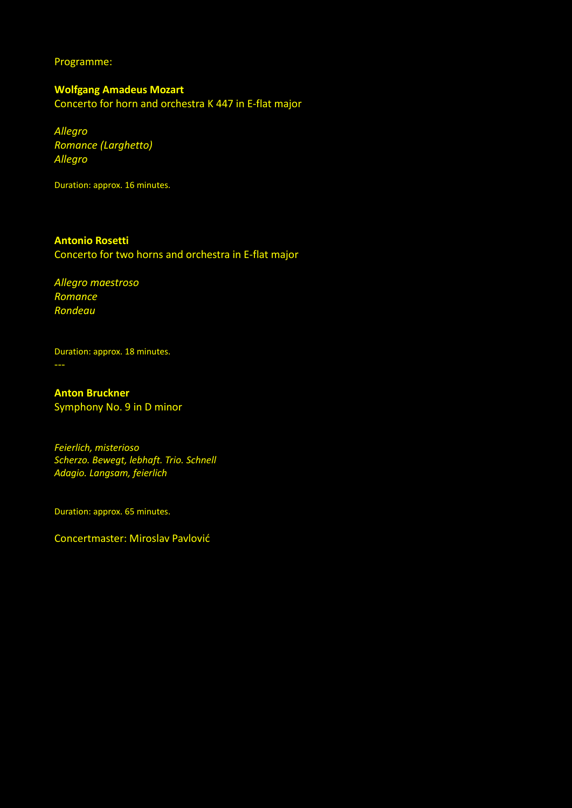Programme:

**Wоlfgang Amadeus Mozart** Concerto for horn and orchestra K 447 in E-flat major

*Allegro Romance (Larghetto) Allegro*

Duration: approx. 16 minutes.

## **Antonio Rosetti**

Concerto for two horns and orchestra in E-flat major

*Allegro maestroso Romance Rondeau*

Duration: approx. 18 minutes.

**Anton Bruckner** Symphony No. 9 in D minor

*Feierlich, misterioso Scherzo. Bewegt, lebhaft. Trio. Schnell Adagio. Langsam, feierlich*

Duration: approx. 65 minutes.

Concertmaster: Miroslav Pavlović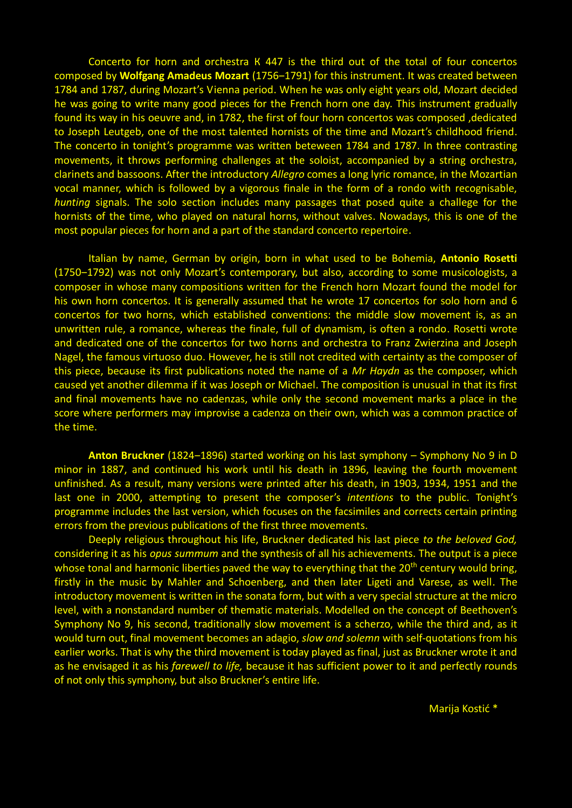Concerto for horn and orchestra К 447 is the third out of the total of four concertos composed by Wolfgang Amadeus Mozart (1756-1791) for this instrument. It was created between 1784 and 1787, during Mozart's Vienna period. When he was only eight years old, Mozart decided he was going to write many good pieces for the French horn one day. This instrument gradually found its way in his oeuvre and, in 1782, the first of four horn concertos was composed ,dedicated to Joseph Leutgeb, one of the most talented hornists of the time and Mozart's childhood friend. The concerto in tonight's programme was written beteween 1784 and 1787. In three contrasting movements, it throws performing challenges at the soloist, accompanied by a string orchestra, clarinets and bassoons. After the introductory *Allegro* comes a long lyric romance, in the Mozartian vocal manner, which is followed by a vigorous finale in the form of a rondo with recognisable, *hunting* signals. The solo section includes many passages that posed quite a challege for the hornists of the time, who played on natural horns, without valves. Nowadays, this is one of the most popular pieces for horn and a part of the standard concerto repertoire.

Italian by name, German by origin, born in what used to be Bohemia, **Antonio Rosetti** (1750-1792) was not only Mozart's contemporary, but also, according to some musicologists, a composer in whose many compositions written for the French horn Mozart found the model for his own horn concertos. It is generally assumed that he wrote 17 concertos for solo horn and 6 concertos for two horns, which established conventions: the middle slow movement is, as an unwritten rule, a romance, whereas the finale, full of dynamism, is often a rondo. Rosetti wrote and dedicated one of the concertos for two horns and orchestra to Franz Zwierzina and Joseph Nagel, the famous virtuoso duo. However, he is still not credited with certainty as the composer of this piece, because its first publications noted the name of a *Mr Haydn* as the composer, which caused yet another dilemma if it was Joseph or Michael. The composition is unusual in that its first and final movements have no cadenzas, while only the second movement marks a place in the score where performers may improvise a cadenza on their own, which was a common practice of the time.

**Anton Bruckner** (1824–1896) started working on his last symphony – Symphony No 9 in D minor in 1887, and continued his work until his death in 1896, leaving the fourth movement unfinished. As a result, many versions were printed after his death, in 1903, 1934, 1951 and the last one in 2000, attempting to present the composer's *intentions* to the public. Tonight's programme includes the last version, which focuses on the facsimiles and corrects certain printing errors from the previous publications of the first three movements.

Deeply religious throughout his life, Bruckner dedicated his last piece *to the beloved God,*  considering it as his *opus summum* and the synthesis of all his achievements. The output is a piece whose tonal and harmonic liberties paved the way to everything that the 20<sup>th</sup> century would bring, firstly in the music by Mahler and Schoenberg, and then later Ligeti and Varese, as well. The introductory movement is written in the sonata form, but with a very special structure at the micro level, with a nonstandard number of thematic materials. Modelled on the concept of Beethoven's Symphony No 9, his second, traditionally slow movement is a scherzo, while the third and, as it would turn out, final movement becomes an adagio, *slow and solemn* with self-quotations from his earlier works. That is why the third movement is today played as final, just as Bruckner wrote it and as he envisaged it as his *farewell to life,* because it has sufficient power to it and perfectly rounds of not only this symphony, but also Bruckner's entire life.

Marija Kostić \*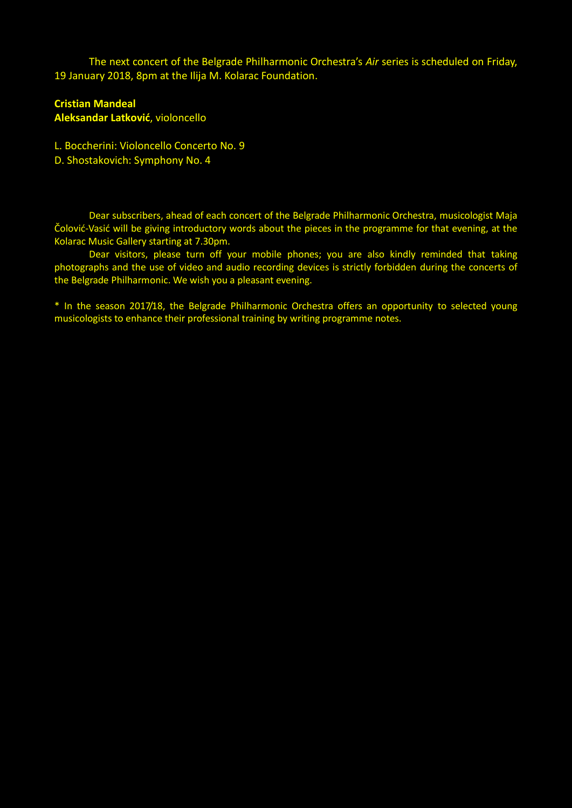The next concert of the Belgrade Philharmonic Orchestra's *Air* series is scheduled on Friday, 19 January 2018, 8pm at the Ilija M. Kolarac Foundation.

## **Cristian Mandeal**

**Aleksandar Latković**, violoncello

- L. Boccherini: Violoncello Concerto No. 9
- D. Shostakovich: Symphony No. 4

Dear subscribers, ahead of each concert of the Belgrade Philharmonic Orchestra, musicologist Maja Čolović-Vasić will be giving introductory words about the pieces in the programme for that evening, at the Kolarac Music Gallery starting at 7.30pm.

Dear visitors, please turn off your mobile phones; you are also kindly reminded that taking photographs and the use of video and audio recording devices is strictly forbidden during the concerts of the Belgrade Philharmonic. We wish you a pleasant evening.

\* In the season 2017/18, the Belgrade Philharmonic Orchestra offers an opportunity to selected young musicologists to enhance their professional training by writing programme notes.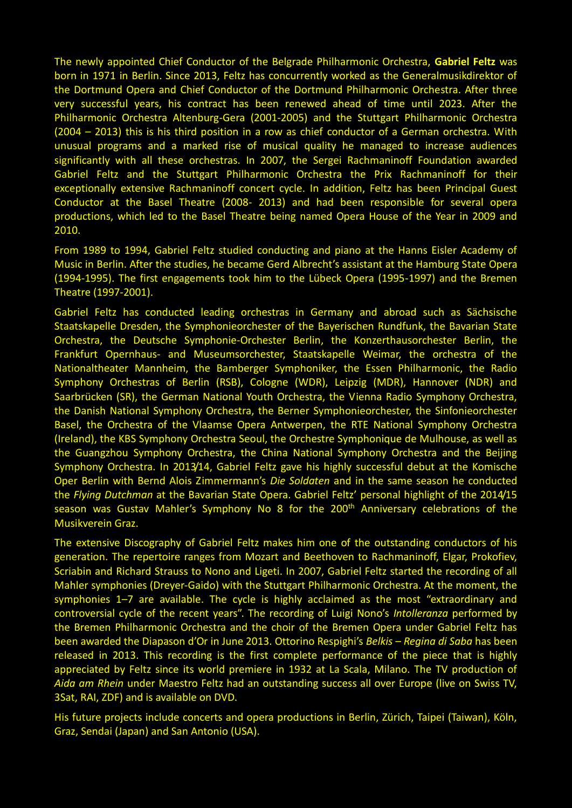The newly appointed Chief Conductor of the Belgrade Philharmonic Orchestra, **Gabriel Feltz** was born in 1971 in Berlin. Since 2013, Feltz has concurrently worked as the Generalmusikdirektor of the Dortmund Opera and Chief Conductor of the Dortmund Philharmonic Orchestra. After three very successful years, his contract has been renewed ahead of time until 2023. After the Philharmonic Orchestra Altenburg-Gera (2001-2005) and the Stuttgart Philharmonic Orchestra (2004 – 2013) this is his third position in a row as chief conductor of a German orchestra. With unusual programs and a marked rise of musical quality he managed to increase audiences significantly with all these orchestras. In 2007, the Sergei Rachmaninoff Foundation awarded Gabriel Feltz and the Stuttgart Philharmonic Orchestra the Prix Rachmaninoff for their exceptionally extensive Rachmaninoff concert cycle. In addition, Feltz has been Principal Guest Conductor at the Basel Theatre (2008- 2013) and had been responsible for several opera productions, which led to the Basel Theatre being named Opera House of the Year in 2009 and 2010.

From 1989 to 1994, Gabriel Feltz studied conducting and piano at the Hanns Eisler Academy of Music in Berlin. After the studies, he became Gerd Albrecht's assistant at the Hamburg State Opera (1994-1995). The first engagements took him to the Lübeck Opera (1995-1997) and the Bremen Theatre (1997-2001).

Gabriel Feltz has conducted leading orchestras in Germany and abroad such as Sächsische Staatskapelle Dresden, the Symphonieorchester of the Bayerischen Rundfunk, the Bavarian State Orchestra, the Deutsche Symphonie-Orchester Berlin, the Konzerthausorchester Berlin, the Frankfurt Opernhaus- and Museumsorchester, Staatskapelle Weimar, the orchestra of the Nationaltheater Mannheim, the Bamberger Symphoniker, the Essen Philharmonic, the Radio Symphony Orchestras of Berlin (RSB), Cologne (WDR), Leipzig (MDR), Hannover (NDR) and Saarbrücken (SR), the German National Youth Orchestra, the Vienna Radio Symphony Orchestra, the Danish National Symphony Orchestra, the Berner Symphonieorchester, the Sinfonieorchester Basel, the Orchestra of the Vlaamse Opera Antwerpen, the RTE National Symphony Orchestra (Ireland), the KBS Symphony Orchestra Seoul, the Orchestre Symphonique de Mulhouse, as well as the Guangzhou Symphony Orchestra, the China National Symphony Orchestra and the Beijing Symphony Orchestra. In 2013/14, Gabriel Feltz gave his highly successful debut at the Komische Oper Berlin with Bernd Alois Zimmermann's *Die Soldaten* and in the same season he conducted the *Flying Dutchman* at the Bavarian State Opera. Gabriel Feltz' personal highlight of the 2014/15 season was Gustav Mahler's Symphony No 8 for the 200<sup>th</sup> Anniversary celebrations of the Musikverein Graz.

The extensive Discography of Gabriel Feltz makes him one of the outstanding conductors of his generation. The repertoire ranges from Mozart and Beethoven to Rachmaninoff, Elgar, Prokofiev, Scriabin and Richard Strauss to Nono and Ligeti. In 2007, Gabriel Feltz started the recording of all Mahler symphonies (Dreyer-Gaido) with the Stuttgart Philharmonic Orchestra. At the moment, the symphonies 1–7 are available. The cycle is highly acclaimed as the most "extraordinary and controversial cycle of the recent years". The recording of Luigi Nono's *Intolleranza* performed by the Bremen Philharmonic Orchestra and the choir of the Bremen Opera under Gabriel Feltz has been awarded the Diapason d'Or in June 2013. Ottorino Respighi's *Belkis – Regina di Saba* has been released in 2013. This recording is the first complete performance of the piece that is highly appreciated by Feltz since its world premiere in 1932 at La Scala, Milano. The TV production of *Aida am Rhein* under Maestro Feltz had an outstanding success all over Europe (live on Swiss TV, 3Sat, RAI, ZDF) and is available on DVD.

His future projects include concerts and opera productions in Berlin, Zürich, Taipei (Taiwan), Köln, Graz, Sendai (Japan) and San Antonio (USA).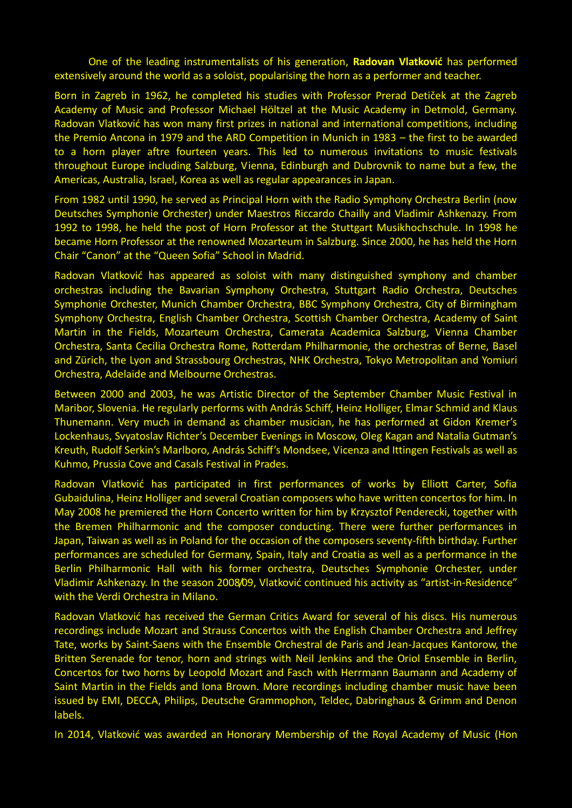One of the leading instrumentalists of his generation, **Radovan Vlatković** has performed extensively around the world as a soloist, popularising the horn as a performer and teacher.

Born in Zagreb in 1962, he completed his studies with Professor Prerad Detiček at the Zagreb Academy of Music and Professor Michael Höltzel at the Music Academy in Detmold, Germany. Radovan Vlatković has won many first prizes in national and international competitions, including the Premio Ancona in 1979 and the ARD Competition in Munich in 1983 – the first to be awarded to a horn player aftre fourteen years. This led to numerous invitations to music festivals throughout Europe including Salzburg, Vienna, Edinburgh and Dubrovnik to name but a few, the Americas, Australia, Israel, Korea as well as regular appearances in Japan.

From 1982 until 1990, he served as Principal Horn with the Radio Symphony Orchestra Berlin (now Deutsches Symphonie Orchester) under Maestros Riccardo Chailly and Vladimir Ashkenazy. From 1992 to 1998, he held the post of Horn Professor at the Stuttgart Musikhochschule. In 1998 he became Horn Professor at the renowned Mozarteum in Salzburg. Since 2000, he has held the Horn Chair "Canon" at the "Queen Sofia" School in Madrid.

Radovan Vlatković has appeared as soloist with many distinguished symphony and chamber orchestras including the Bavarian Symphony Orchestra, Stuttgart Radio Orchestra, Deutsches Symphonie Orchester, Munich Chamber Orchestra, BBC Symphony Orchestra, City of Birmingham Symphony Orchestra, English Chamber Orchestra, Scottish Chamber Orchestra, Academy of Saint Martin in the Fields, Mozarteum Orchestra, Camerata Academica Salzburg, Vienna Chamber Orchestra, Santa Cecilia Orchestra Rome, Rotterdam Philharmonie, the orchestras of Berne, Basel and Zürich, the Lyon and Strassbourg Orchestras, NHK Orchestra, Tokyo Metropolitan and Yomiuri Orchestra, Adelaide and Melbourne Orchestras.

Between 2000 and 2003, he was Artistic Director of the September Chamber Music Festival in Maribor, Slovenia. He regularly performs with András Schiff, Heinz Holliger, Elmar Schmid and Klaus Thunemann. Very much in demand as chamber musician, he has performed at Gidon Kremer's Lockenhaus, Svyatoslav Richter's December Evenings in Moscow, Oleg Kagan and Natalia Gutman's Kreuth, Rudolf Serkin's Marlboro, András Schiff's Mondsee, Vicenza and Ittingen Festivals as well as Kuhmo, Prussia Cove and Casals Festival in Prades.

Radovan Vlatković has participated in first performances of works by Elliott Carter, Sofia Gubaidulina, Heinz Holliger and several Croatian composers who have written concertos for him. In May 2008 he premiered the Horn Concerto written for him by Krzysztof Penderecki, together with the Bremen Philharmonic and the composer conducting. There were further performances in Japan, Taiwan as well as in Poland for the occasion of the composers seventy-fifth birthday. Further performances are scheduled for Germany, Spain, Italy and Croatia as well as a performance in the Berlin Philharmonic Hall with his former orchestra, Deutsches Symphonie Orchester, under Vladimir Ashkenazy. In the season 2008/09, Vlatković continued his activity as "artist-in-Residence" with the Verdi Orchestra in Milano.

Radovan Vlatković has received the German Critics Award for several of his discs. His numerous recordings include Mozart and Strauss Concertos with the English Chamber Orchestra and Jeffrey Tate, works by Saint-Saens with the Ensemble Orchestral de Paris and Jean-Jacques Kantorow, the Britten Serenade for tenor, horn and strings with Neil Jenkins and the Oriol Ensemble in Berlin, Concertos for two horns by Leopold Mozart and Fasch with Herrmann Baumann and Academy of Saint Martin in the Fields and Iona Brown. More recordings including chamber music have been issued by EMI, DECCA, Philips, Deutsche Grammophon, Teldec, Dabringhaus & Grimm and Denon labels.

In 2014, Vlatković was awarded an Honorary Membership of the Royal Academy of Music (Hon